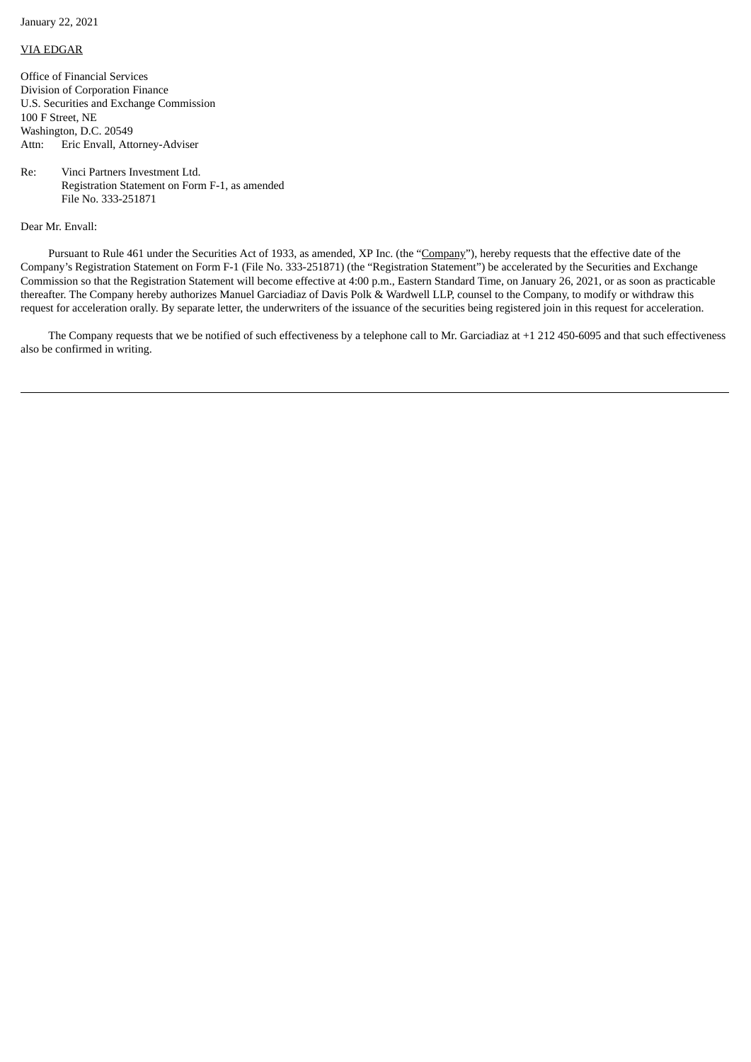January 22, 2021

## VIA EDGAR

Office of Financial Services Division of Corporation Finance U.S. Securities and Exchange Commission 100 F Street, NE Washington, D.C. 20549 Attn: Eric Envall, Attorney-Adviser

Re: Vinci Partners Investment Ltd. Registration Statement on Form F-1, as amended File No. 333-251871

Dear Mr. Envall:

Pursuant to Rule 461 under the Securities Act of 1933, as amended, XP Inc. (the "Company"), hereby requests that the effective date of the Company's Registration Statement on Form F-1 (File No. 333-251871) (the "Registration Statement") be accelerated by the Securities and Exchange Commission so that the Registration Statement will become effective at 4:00 p.m., Eastern Standard Time, on January 26, 2021, or as soon as practicable thereafter. The Company hereby authorizes Manuel Garciadiaz of Davis Polk & Wardwell LLP, counsel to the Company, to modify or withdraw this request for acceleration orally. By separate letter, the underwriters of the issuance of the securities being registered join in this request for acceleration.

The Company requests that we be notified of such effectiveness by a telephone call to Mr. Garciadiaz at +1 212 450-6095 and that such effectiveness also be confirmed in writing.